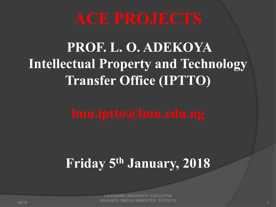## **PROF. L. O. ADEKOYA Intellectual Property and Technology Transfer Office (IPTTO)**

## **Friday 5th January, 2018**

1/9/18 1 LANDMARK UNIVERSITY EXECUTIVE ADVANCE OMEGA SEMESTER 2017/2018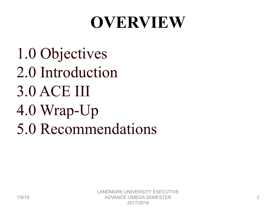# **OVERVIEW**

1.0 Objectives 2.0 Introduction 3.0 ACE III 4.0 Wrap-Up 5.0 Recommendations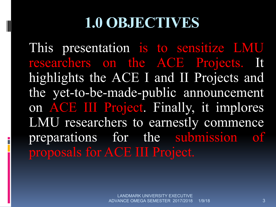#### **1.0 OBJECTIVES**

This presentation is to sensitize LMU researchers on the ACE Projects. It highlights the ACE I and II Projects and the yet-to-be-made-public announcement on ACE III Project. Finally, it implores LMU researchers to earnestly commence preparations for the submission of proposals for ACE III Project.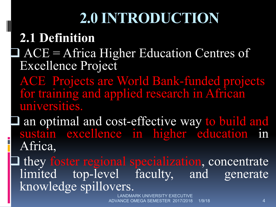## **2.1 Definition**

#### $\Box$  ACE = Africa Higher Education Centres of Excellence Project

ACE Projects are World Bank-funded projects for training and applied research in African universities.

I an optimal and cost-effective way to build and sustain excellence in higher education in Africa,

they foster regional specialization, concentrate limited top-level faculty, and generate knowledge spillovers.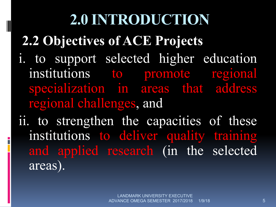**2.2 Objectives of ACE Projects**

- i. to support selected higher education institutions to promote regional specialization in areas that address regional challenges, and
- ii. to strengthen the capacities of these institutions to deliver quality training and applied research (in the selected areas).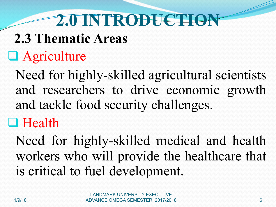# **2.3 Thematic Areas**

# $\Box$  Agriculture

Need for highly-skilled agricultural scientists and researchers to drive economic growth and tackle food security challenges.

#### $\Box$  Health

Need for highly-skilled medical and health workers who will provide the healthcare that is critical to fuel development.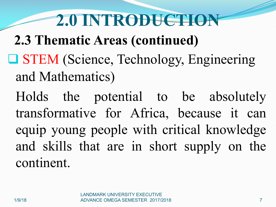- **2.3 Thematic Areas (continued)**
- **Q STEM** (Science, Technology, Engineering and Mathematics)
	- Holds the potential to be absolutely transformative for Africa, because it can equip young people with critical knowledge and skills that are in short supply on the continent.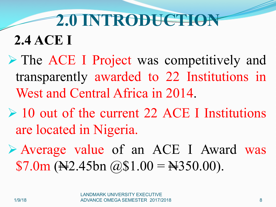**2.4 ACE I** 

- Ø The ACE I Project was competitively and transparently awarded to 22 Institutions in West and Central Africa in 2014.
- $\geq 10$  out of the current 22 ACE I Institutions are located in Nigeria.
- Ø Average value of an ACE I Award was  $$7.0m$  ( $\cancel{+}2.45bn$   $\cancel{\textcirc}$ ) $$1.00 = \cancel{+}350.00$ ).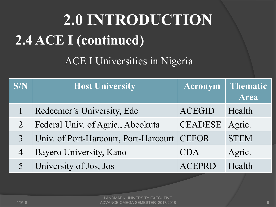# **2.0 INTRODUCTION 2.4 ACE I (continued)**

ACE I Universities in Nigeria

| SN             | <b>Host University</b>                | Acronym        | Thematic<br><b>Area</b> |
|----------------|---------------------------------------|----------------|-------------------------|
|                | Redeemer's University, Ede            | <b>ACEGID</b>  | Health                  |
|                | Federal Univ. of Agric., Abeokuta     | <b>CEADESE</b> | Agric.                  |
| $\overline{3}$ | Univ. of Port-Harcourt, Port-Harcourt | <b>CEFOR</b>   | <b>STEM</b>             |
| 4              | Bayero University, Kano               | <b>CDA</b>     | Agric.                  |
|                | University of Jos, Jos                | ACEPRD         | Health                  |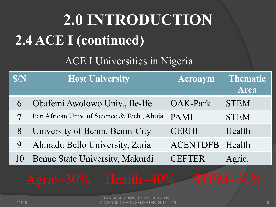# **2.0 INTRODUCTION 2.4 ACE I (continued)**

#### ACE I Universities in Nigeria

| <b>S/N</b> | <b>Host University</b>                      | <b>Acronym</b>  | Thematic<br><b>Area</b> |
|------------|---------------------------------------------|-----------------|-------------------------|
| 6          | Obafemi Awolowo Univ., Ile-Ife              | <b>OAK-Park</b> | <b>STEM</b>             |
|            | Pan African Univ. of Science & Tech., Abuja | <b>PAMI</b>     | <b>STEM</b>             |
| 8          | University of Benin, Benin-City             | <b>CERHI</b>    | Health                  |
| 9          | Ahmadu Bello University, Zaria              | <b>ACENTDFB</b> | Health                  |
| 10         | Benue State University, Makurdi             | <b>CEFTER</b>   | Agric.                  |

# Agric=30% Health=40% STEM=30%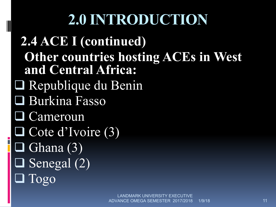**2.4 ACE I (continued) Other countries hosting ACEs in West and Central Africa:**  $\Box$  Republique du Benin **□ Burkina Fasso**  $\Box$  Cameroun  $\Box$  Cote d'Ivoire (3)  $\Box$  Ghana (3)  $\Box$  Senegal (2) Togo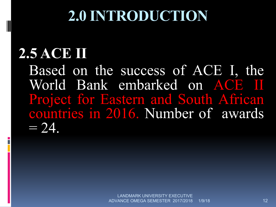# **2.5 ACE II**

Based on the success of ACE I, the World Bank embarked on ACE II Project for Eastern and South African countries in 2016. Number of awards  $= 24.$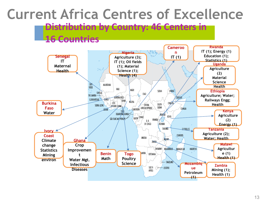#### Distribution by Country: 46 Centers in  $\mathsf{S}$ **Current Africa Centres of Excellence 16 Countries**

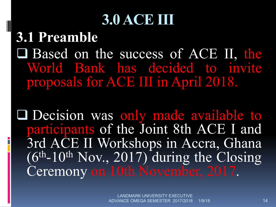# **3.0 ACE III**

**3.1 Preamble Q** Based on the success of ACE II, the World Bank has decided to invite proposals for ACE III in April 2018.

**Q** Decision was only made available to participants of the Joint 8th ACE I and 3rd ACE II Workshops in Accra, Ghana (6th-10th Nov., 2017) during the Closing Ceremony on 10th November, 2017.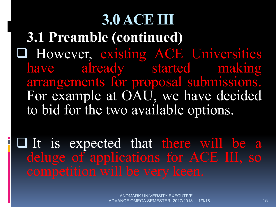# **3.0 ACE III 3.1 Preamble (continued) Q However, existing ACE Universities** have already started making arrangements for proposal submissions. For example at OAU, we have decided to bid for the two available options.

**Q It is expected that there will be a** deluge of applications for ACE III, so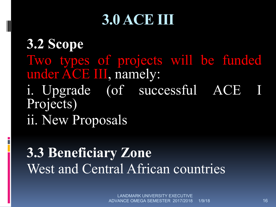# **3.0 ACE III**

**3.2 Scope** Two types of projects will be funded under ACE III, namely: i. Upgrade (of successful ACE I Projects) ii. New Proposals

## **3.3 Beneficiary Zone** West and Central African countries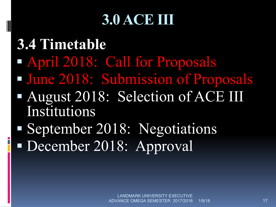# **3.0 ACE III**

**3.4 Timetable** § April 2018: Call for Proposals § June 2018: Submission of Proposals § August 2018: Selection of ACE III Institutions § September 2018: Negotiations

■ December 2018: Approval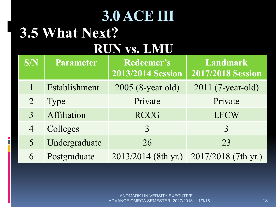#### **3.0 ACE III 3.5 What Next? RUN vs. LMU**

i<br>L

| S/N            | <b>Parameter</b> | Redeemer's<br><b>2013/2014 Session</b> | <b>Landmark</b><br><b>2017/2018 Session</b> |
|----------------|------------------|----------------------------------------|---------------------------------------------|
|                | Establishment    | 2005 (8-year old)                      | 2011 (7-year-old)                           |
| $\overline{2}$ | <b>Type</b>      | Private                                | Private                                     |
| 3              | Affiliation      | <b>RCCG</b>                            | <b>LFCW</b>                                 |
| $\overline{4}$ | Colleges         | 3                                      | 3                                           |
| 5              | Undergraduate    | 26                                     | 23                                          |
| 6              | Postgraduate     | 2013/2014 (8th yr.)                    | 2017/2018 (7th yr.)                         |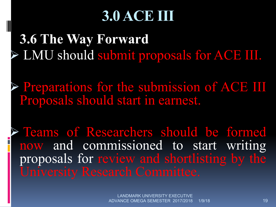# **3.0 ACE III**

**3.6 The Way Forward** Ø LMU should submit proposals for ACE III.

Ø Preparations for the submission of ACE III Proposals should start in earnest.

Ø Teams of Researchers should be formed now and commissioned to start writing proposals for review and shortlisting by the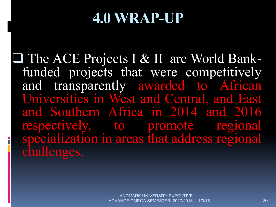## **4.0 WRAP-UP**

**□ The ACE Projects I & II are World Bank-** funded projects that were competitively and transparently awarded to African Universities in West and Central, and East and Southern Africa in 2014 and 2016 respectively, to promote regional specialization in areas that address regional challenges.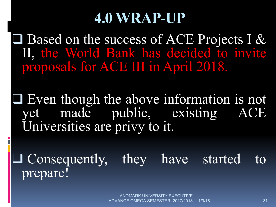# **4.0 WRAP-UP**

 $\Box$  Based on the success of ACE Projects I & II, the World Bank has decided to invite proposals for ACE III in April 2018.

 $\Box$  Even though the above information is not yet made public, existing ACE Universities are privy to it.

 $\Box$  Consequently, they have started prepare!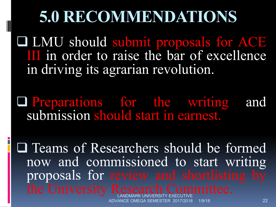# **5.0 RECOMMENDATIONS**

**Q LMU should submit proposals for ACE** III in order to raise the bar of excellence in driving its agrarian revolution.

**Q Preparations for the writing and** submission should start in earnest.

**Q** Teams of Researchers should be formed now and commissioned to start writing proposals for review and shortlisting by the University Research Committee.

1/9/18 ADVANCE OMEGA SEMESTER 2017/2018 1/9/18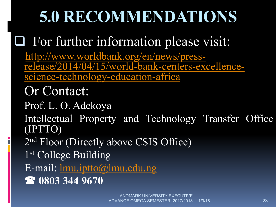# **5.0 RECOMMENDATIONS**

## **Q** For further information please visit:

http://www.worldbank.org/en/news/press-<br>release/2014/04/15/world-bank-centers-excellence-<br>science-technology-education-africa

#### Or Contact:

Prof. L. O. Adekoya

Intellectual Property and Technology Transfer Office (IPTTO)

2nd Floor (Directly above CSIS Office)

1st College Building

E-mail: lmu.iptto@lmu.edu.ng

( **0803 344 9670**